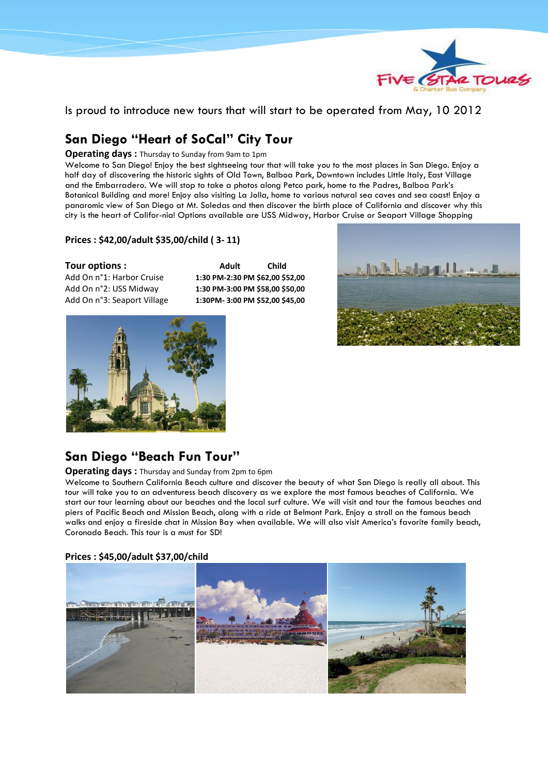

Is proud to introduce new tours that will start to be operated from May, 10 2012

# **San Diego "Heart of SoCal" City Tour**

**Operating days :** Thursday to Sunday from 9am to 1pm

Welcome to San Diego! Enjoy the best sightseeing tour that will take you to the most places in San Diego. Enjoy a half day of discovering the historic sights of Old Town, Balboa Park, Downtown includes Little Italy, East Village and the Embarradero. We will stop to take a photos along Petco park, home to the Padres, Balboa Park's Botanical Building and more! Enjoy also visiting La Jolla, home to various natural sea caves and sea coast! Enjoy a panaromic view of San Diego at Mt. Soledas and then discover the birth place of California and discover why this city is the heart of Califor-nia! Options available are USS Midway, Harbor Cruise or Seaport Village Shopping

#### **Prices : \$42,00/adult \$35,00/child ( 3- 11)**

Tour options : **Adult** Child Child Add On n°1: Harbor Cruise **1:30 PM-2:30 PM \$62,00 \$52,00**  Add On n°2: USS Midway **1:30 PM-3:00 PM \$58,00 \$50,00**  Add On n°3: Seaport Village **1:30PM- 3:00 PM \$52,00 \$45,00** 





### **San Diego "Beach Fun Tour"**

**Operating days :** Thursday and Sunday from 2pm to 6pm

Welcome to Southern California Beach culture and discover the beauty of what San Diego is really all about. This tour will take you to an adventuress beach discovery as we explore the most famous beaches of California. We start our tour learning about our beaches and the local surf culture. We will visit and tour the famous beaches and piers of Pacific Beach and Mission Beach, along with a ride at Belmont Park. Enjoy a stroll on the famous beach walks and enjoy a fireside chat in Mission Bay when available. We will also visit America's favorite family beach, Coronado Beach. This tour is a must for SD!

#### **Prices : \$45,00/adult \$37,00/child**

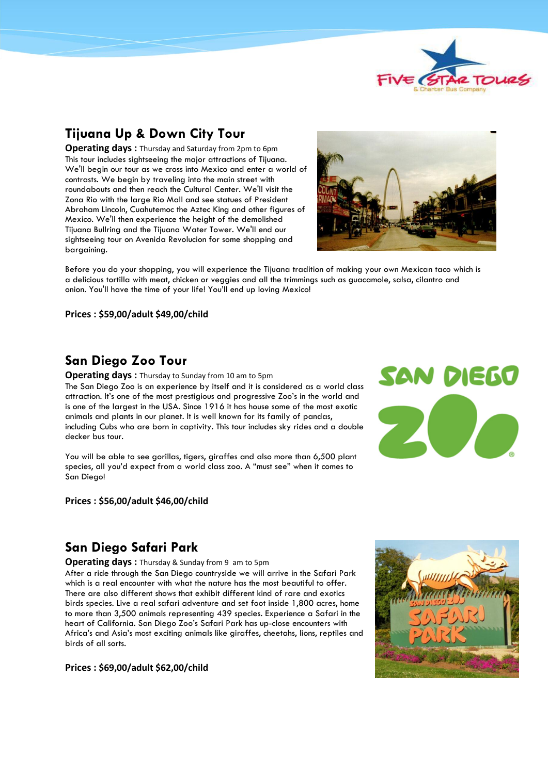

## **Tijuana Up & Down City Tour**

**Operating days :** Thursday and Saturday from 2pm to 6pm This tour includes sightseeing the major attractions of Tijuana. We'll begin our tour as we cross into Mexico and enter a world of contrasts. We begin by traveling into the main street with roundabouts and then reach the Cultural Center. We'll visit the Zona Rio with the large Rio Mall and see statues of President Abraham Lincoln, Cuahutemoc the Aztec King and other figures of Mexico. We'll then experience the height of the demolished Tijuana Bullring and the Tijuana Water Tower. We'll end our sightseeing tour on Avenida Revolucion for some shopping and bargaining.



Before you do your shopping, you will experience the Tijuana tradition of making your own Mexican taco which is a delicious tortilla with meat, chicken or veggies and all the trimmings such as guacamole, salsa, cilantro and onion. You'll have the time of your life! You'll end up loving Mexico!

**Prices : \$59,00/adult \$49,00/child** 

### **San Diego Zoo Tour**

**Operating days :** Thursday to Sunday from 10 am to 5pm The San Diego Zoo is an experience by itself and it is considered as a world class attraction. It's one of the most prestigious and progressive Zoo's in the world and is one of the largest in the USA. Since 1916 it has house some of the most exotic animals and plants in our planet. It is well known for its family of pandas, including Cubs who are born in captivity. This tour includes sky rides and a double decker bus tour.

You will be able to see gorillas, tigers, giraffes and also more than 6,500 plant species, all you'd expect from a world class zoo. A "must see" when it comes to San Diego!

#### **Prices : \$56,00/adult \$46,00/child**



## **San Diego Safari Park**

#### **Operating days: Thursday & Sunday from 9 am to 5pm**

After a ride through the San Diego countryside we will arrive in the Safari Park which is a real encounter with what the nature has the most beautiful to offer. There are also different shows that exhibit different kind of rare and exotics birds species. Live a real safari adventure and set foot inside 1,800 acres, home to more than 3,500 animals representing 439 species. Experience a Safari in the heart of California. San Diego Zoo's Safari Park has up-close encounters with Africa's and Asia's most exciting animals like giraffes, cheetahs, lions, reptiles and birds of all sorts.



**Prices : \$69,00/adult \$62,00/child**